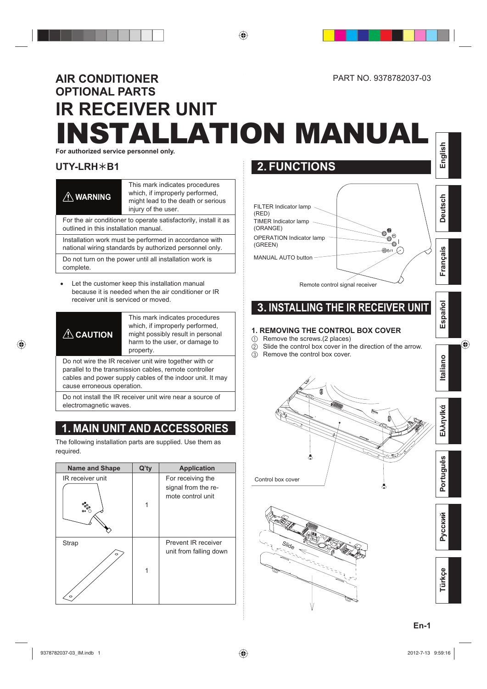## INSTALLATION MANUAL **AIR CONDITIONER OPTIONAL PARTS IR RECEIVER UNIT**

**For authorized service personnel only.**

### **UTY-LRH**½**B1**

### **WARNING**

This mark indicates procedures which, if improperly performed, might lead to the death or serious injury of the user.

For the air conditioner to operate satisfactorily, install it as outlined in this installation manual.

Installation work must be performed in accordance with national wiring standards by authorized personnel only.

Do not turn on the power until all installation work is complete.

Let the customer keep this installation manual because it is needed when the air conditioner or IR receiver unit is serviced or moved.

# **CAUTION**

This mark indicates procedures which, if improperly performed. might possibly result in personal harm to the user, or damage to property.

Do not wire the IR receiver unit wire together with or parallel to the transmission cables, remote controller cables and power supply cables of the indoor unit. It may cause erroneous operation.

Do not install the IR receiver unit wire near a source of electromagnetic waves.

### **1. MAIN UNIT AND ACCESSORIES**

The following installation parts are supplied. Use them as required.



### **2. FUNCTIONS**



### **3. INSTALLING THE IR RECEIVER UNIT**

#### **1. REMOVING THE CONTROL BOX COVER**

- 1 Remove the screws.(2 places)
- $\overline{2}$  Slide the control box cover in the direction of the arrow.
- $\overline{3}$  Remove the control box cover.





**English**